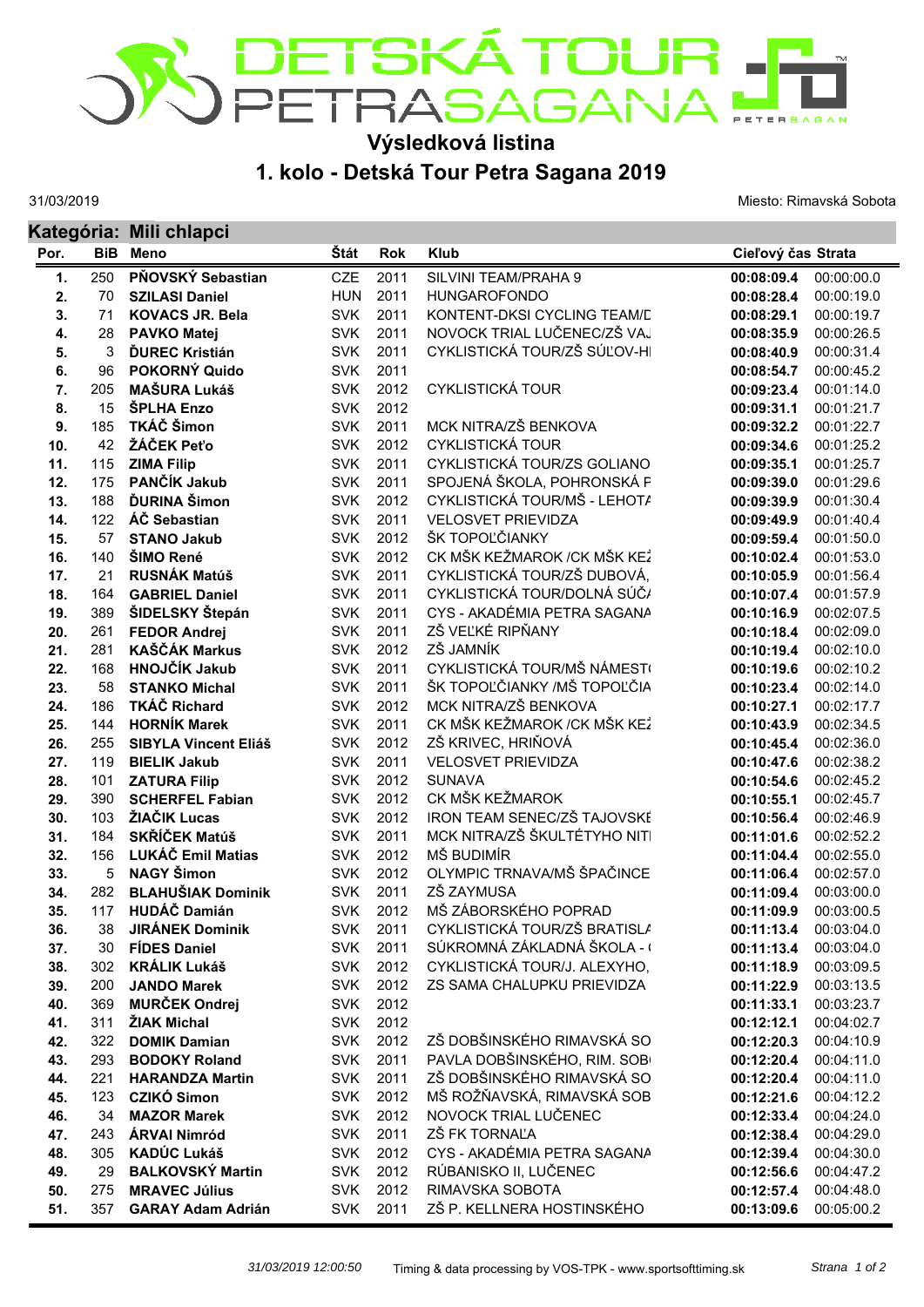

## **Výsledková listina**

**1. kolo - Detská Tour Petra Sagana 2019**

31/03/2019

Miesto: Rimavská Sobota

|      |            | Kategória: Mili chlapci     |            |            |                              |                    |            |  |  |
|------|------------|-----------------------------|------------|------------|------------------------------|--------------------|------------|--|--|
| Por. | <b>BiB</b> | <b>Meno</b>                 | Štát       | <b>Rok</b> | <b>Klub</b>                  | Cieľový čas Strata |            |  |  |
| 1.   | 250        | PŇOVSKÝ Sebastian           | <b>CZE</b> | 2011       | SILVINI TEAM/PRAHA 9         | 00:08:09.4         | 00:00:00.0 |  |  |
| 2.   | 70         | <b>SZILASI Daniel</b>       | <b>HUN</b> | 2011       | <b>HUNGAROFONDO</b>          | 00:08:28.4         | 00:00:19.0 |  |  |
| 3.   | 71         | <b>KOVACS JR. Bela</b>      | <b>SVK</b> | 2011       | KONTENT-DKSI CYCLING TEAM/D  | 00:08:29.1         | 00:00:19.7 |  |  |
| 4.   | 28         | <b>PAVKO Matej</b>          | <b>SVK</b> | 2011       | NOVOCK TRIAL LUČENEC/ZŠ VAJ  | 00:08:35.9         | 00:00:26.5 |  |  |
| 5.   | 3          | <b>ĎUREC Kristián</b>       | <b>SVK</b> | 2011       | CYKLISTICKÁ TOUR/ZŠ SÚĽOV-HI | 00:08:40.9         | 00:00:31.4 |  |  |
| 6.   | 96         | POKORNÝ Quido               | <b>SVK</b> | 2011       |                              | 00:08:54.7         | 00:00:45.2 |  |  |
| 7.   | 205        | <b>MAŠURA Lukáš</b>         | <b>SVK</b> | 2012       | <b>CYKLISTICKÁ TOUR</b>      | 00:09:23.4         | 00:01:14.0 |  |  |
| 8.   | 15         | ŠPLHA Enzo                  | <b>SVK</b> | 2012       |                              | 00:09:31.1         | 00:01:21.7 |  |  |
| 9.   | 185        | TKÁČ Šimon                  | <b>SVK</b> | 2011       | MCK NITRA/ZŠ BENKOVA         | 00:09:32.2         | 00:01:22.7 |  |  |
| 10.  | 42         | ŽÁČEK Peťo                  | <b>SVK</b> | 2012       | <b>CYKLISTICKÁ TOUR</b>      | 00:09:34.6         | 00:01:25.2 |  |  |
| 11.  | 115        | <b>ZIMA Filip</b>           | <b>SVK</b> | 2011       | CYKLISTICKÁ TOUR/ZS GOLIANO  | 00:09:35.1         | 00:01:25.7 |  |  |
| 12.  | 175        | PANČÍK Jakub                | <b>SVK</b> | 2011       | SPOJENÁ ŠKOLA, POHRONSKÁ F   | 00:09:39.0         | 00:01:29.6 |  |  |
| 13.  | 188        | <b>ĎURINA</b> Šimon         | <b>SVK</b> | 2012       | CYKLISTICKÁ TOUR/MŠ - LEHOTA | 00:09:39.9         | 00:01:30.4 |  |  |
| 14.  | 122        | ÁČ Sebastian                | <b>SVK</b> | 2011       | <b>VELOSVET PRIEVIDZA</b>    | 00:09:49.9         | 00:01:40.4 |  |  |
| 15.  | 57         | <b>STANO Jakub</b>          | <b>SVK</b> | 2012       | ŠK TOPOĽČIANKY               | 00:09:59.4         | 00:01:50.0 |  |  |
| 16.  | 140        | ŠIMO René                   | <b>SVK</b> | 2012       | CK MŠK KEŽMAROK / CK MŠK KEŽ | 00:10:02.4         | 00:01:53.0 |  |  |
| 17.  | 21         | <b>RUSNÁK Matúš</b>         | <b>SVK</b> | 2011       | CYKLISTICKÁ TOUR/ZŠ DUBOVÁ,  | 00:10:05.9         | 00:01:56.4 |  |  |
| 18.  | 164        | <b>GABRIEL Daniel</b>       | <b>SVK</b> | 2011       | CYKLISTICKÁ TOUR/DOLNÁ SÚČ/  | 00:10:07.4         | 00:01:57.9 |  |  |
| 19.  | 389        | ŠIDELSKY Štepán             | <b>SVK</b> | 2011       | CYS - AKADÉMIA PETRA SAGANA  | 00:10:16.9         | 00:02:07.5 |  |  |
| 20.  | 261        | <b>FEDOR Andrej</b>         | <b>SVK</b> | 2011       | ZŠ VEĽKÉ RIPŇANY             | 00:10:18.4         | 00:02:09.0 |  |  |
| 21.  | 281        | <b>KAŠČÁK Markus</b>        | <b>SVK</b> | 2012       | ZŠ JAMNÍK                    | 00:10:19.4         | 00:02:10.0 |  |  |
| 22.  | 168        | <b>HNOJČÍK Jakub</b>        | <b>SVK</b> | 2011       | CYKLISTICKÁ TOUR/MŠ NÁMEST(  | 00:10:19.6         | 00:02:10.2 |  |  |
| 23.  | 58         | <b>STANKO Michal</b>        | <b>SVK</b> | 2011       | ŠK TOPOĽČIANKY /MŠ TOPOĽČIA  | 00:10:23.4         | 00:02:14.0 |  |  |
| 24.  | 186        | <b>TKÁČ Richard</b>         | <b>SVK</b> | 2012       | MCK NITRA/ZŠ BENKOVA         | 00:10:27.1         | 00:02:17.7 |  |  |
| 25.  | 144        | <b>HORNÍK Marek</b>         | <b>SVK</b> | 2011       | CK MŠK KEŽMAROK / CK MŠK KEŽ | 00:10:43.9         | 00:02:34.5 |  |  |
| 26.  | 255        | <b>SIBYLA Vincent Eliáš</b> | <b>SVK</b> | 2012       | ZŠ KRIVEC, HRIŇOVÁ           | 00:10:45.4         | 00:02:36.0 |  |  |
| 27.  | 119        | <b>BIELIK Jakub</b>         | <b>SVK</b> | 2011       | <b>VELOSVET PRIEVIDZA</b>    | 00:10:47.6         | 00:02:38.2 |  |  |
| 28.  | 101        | <b>ZATURA Filip</b>         | <b>SVK</b> | 2012       | <b>SUNAVA</b>                | 00:10:54.6         | 00:02:45.2 |  |  |
| 29.  | 390        | <b>SCHERFEL Fabian</b>      | <b>SVK</b> | 2012       | CK MŠK KEŽMAROK              | 00:10:55.1         | 00:02:45.7 |  |  |
| 30.  | 103        | ŽIAČIK Lucas                | <b>SVK</b> | 2012       | IRON TEAM SENEC/ZŠ TAJOVSKÉ  | 00:10:56.4         | 00:02:46.9 |  |  |
| 31.  | 184        | <b>SKŘÍČEK Matúš</b>        | <b>SVK</b> | 2011       | MCK NITRA/ZŠ ŠKULTÉTYHO NITI | 00:11:01.6         | 00:02:52.2 |  |  |
| 32.  | 156        | LUKÁČ Emil Matias           | <b>SVK</b> | 2012       | MŠ BUDIMÍR                   | 00:11:04.4         | 00:02:55.0 |  |  |
| 33.  | 5          | <b>NAGY Šimon</b>           | <b>SVK</b> | 2012       | OLYMPIC TRNAVA/MŠ ŠPAČINCE   | 00:11:06.4         | 00:02:57.0 |  |  |
| 34.  | 282        | <b>BLAHUŠIAK Dominik</b>    | <b>SVK</b> | 2011       | ZŠ ZAYMUSA                   | 00:11:09.4         | 00:03:00.0 |  |  |
| 35.  | 117        | <b>HUDÁČ Damián</b>         | <b>SVK</b> | 2012       | MŠ ZÁBORSKÉHO POPRAD         | 00:11:09.9         | 00:03:00.5 |  |  |
| 36.  | 38         | <b>JIRÁNEK Dominik</b>      | <b>SVK</b> | 2011       | CYKLISTICKÁ TOUR/ZŠ BRATISLA | 00:11:13.4         | 00:03:04.0 |  |  |
| 37.  | 30         | <b>FÍDES Daniel</b>         | <b>SVK</b> | 2011       | SÚKROMNÁ ZÁKLADNÁ ŠKOLA - (  | 00:11:13.4         | 00:03:04.0 |  |  |
| 38.  | 302        | <b>KRÁLIK Lukáš</b>         | <b>SVK</b> | 2012       | CYKLISTICKÁ TOUR/J. ALEXYHO, | 00:11:18.9         | 00:03:09.5 |  |  |
| 39.  | 200        | <b>JANDO Marek</b>          | <b>SVK</b> | 2012       | ZS SAMA CHALUPKU PRIEVIDZA   | 00:11:22.9         | 00:03:13.5 |  |  |
| 40.  | 369        | <b>MURČEK Ondrej</b>        | <b>SVK</b> | 2012       |                              | 00:11:33.1         | 00:03:23.7 |  |  |
| 41.  | 311        | ŽIAK Michal                 | <b>SVK</b> | 2012       |                              | 00:12:12.1         | 00:04:02.7 |  |  |
| 42.  | 322        | <b>DOMIK Damian</b>         | <b>SVK</b> | 2012       | ZŠ DOBŠINSKÉHO RIMAVSKÁ SO   | 00:12:20.3         | 00:04:10.9 |  |  |
| 43.  | 293        | <b>BODOKY Roland</b>        | <b>SVK</b> | 2011       | PAVLA DOBŠINSKÉHO, RIM. SOB  | 00:12:20.4         | 00:04:11.0 |  |  |
| 44.  | 221        | <b>HARANDZA Martin</b>      | <b>SVK</b> | 2011       | ZŠ DOBŠINSKÉHO RIMAVSKÁ SO   | 00:12:20.4         | 00:04:11.0 |  |  |
| 45.  | 123        | <b>CZIKÓ Simon</b>          | <b>SVK</b> | 2012       | MŠ ROŽŇAVSKÁ, RIMAVSKÁ SOB   | 00:12:21.6         | 00:04:12.2 |  |  |
| 46.  | 34         | <b>MAZOR Marek</b>          | <b>SVK</b> | 2012       | NOVOCK TRIAL LUČENEC         | 00:12:33.4         | 00:04:24.0 |  |  |
| 47.  | 243        | <b>ÁRVAI Nimród</b>         | <b>SVK</b> | 2011       | ZŠ FK TORNAĽA                | 00:12:38.4         | 00:04:29.0 |  |  |
| 48.  | 305        | <b>KADÚC Lukáš</b>          | <b>SVK</b> | 2012       | CYS - AKADÉMIA PETRA SAGANA  | 00:12:39.4         | 00:04:30.0 |  |  |
| 49.  | 29         | <b>BALKOVSKÝ Martin</b>     | <b>SVK</b> | 2012       | RÚBANISKO II, LUČENEC        | 00:12:56.6         | 00:04:47.2 |  |  |
| 50.  | 275        | <b>MRAVEC Július</b>        | <b>SVK</b> | 2012       | RIMAVSKA SOBOTA              | 00:12:57.4         | 00:04:48.0 |  |  |
| 51.  | 357        | <b>GARAY Adam Adrián</b>    | <b>SVK</b> | 2011       | ZŠ P. KELLNERA HOSTINSKÉHO   | 00:13:09.6         | 00:05:00.2 |  |  |